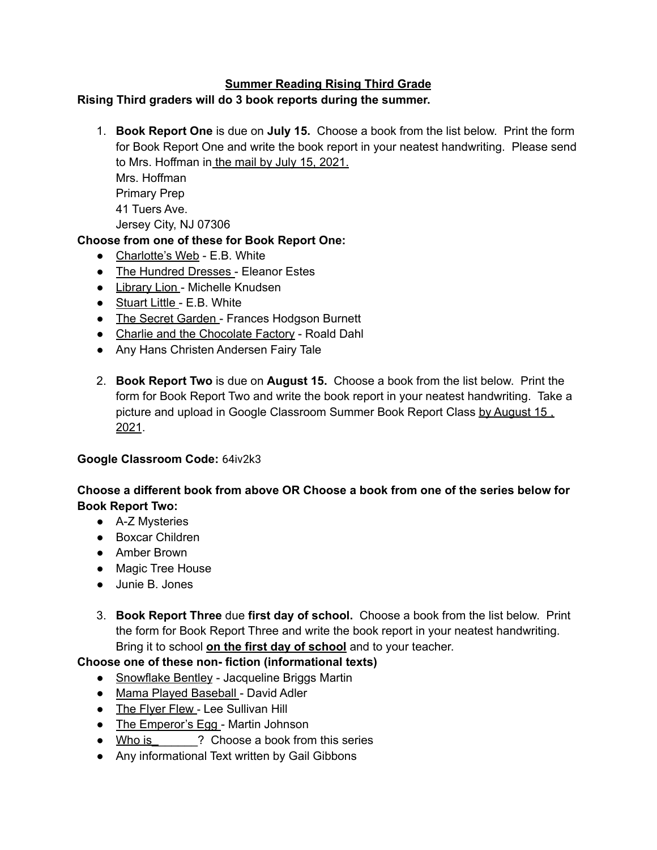## **Summer Reading Rising Third Grade**

#### **Rising Third graders will do 3 book reports during the summer.**

1. **Book Report One** is due on **July 15.** Choose a book from the list below. Print the form for Book Report One and write the book report in your neatest handwriting. Please send to Mrs. Hoffman in the mail by July 15, 2021. Mrs. Hoffman Primary Prep 41 Tuers Ave. Jersey City, NJ 07306

#### **Choose from one of these for Book Report One:**

- Charlotte's Web E.B. White
- The Hundred Dresses Eleanor Estes
- Library Lion Michelle Knudsen
- Stuart Little E.B. White
- The Secret Garden Frances Hodgson Burnett
- Charlie and the Chocolate Factory Roald Dahl
- Any Hans Christen Andersen Fairy Tale
- 2. **Book Report Two** is due on **August 15.** Choose a book from the list below. Print the form for Book Report Two and write the book report in your neatest handwriting. Take a picture and upload in Google Classroom Summer Book Report Class by August 15, 2021.

#### **Google Classroom Code:** 64iv2k3

### **Choose a different book from above OR Choose a book from one of the series below for Book Report Two:**

- A-Z Mysteries
- Boxcar Children
- Amber Brown
- Magic Tree House
- Junie B. Jones
- 3. **Book Report Three** due **first day of school.** Choose a book from the list below. Print the form for Book Report Three and write the book report in your neatest handwriting. Bring it to school **on the first day of school** and to your teacher.

### **Choose one of these non- fiction (informational texts)**

- Snowflake Bentley Jacqueline Briggs Martin
- Mama Played Baseball David Adler
- The Flyer Flew Lee Sullivan Hill
- The Emperor's Egg Martin Johnson
- Who is **2** Choose a book from this series
- Any informational Text written by Gail Gibbons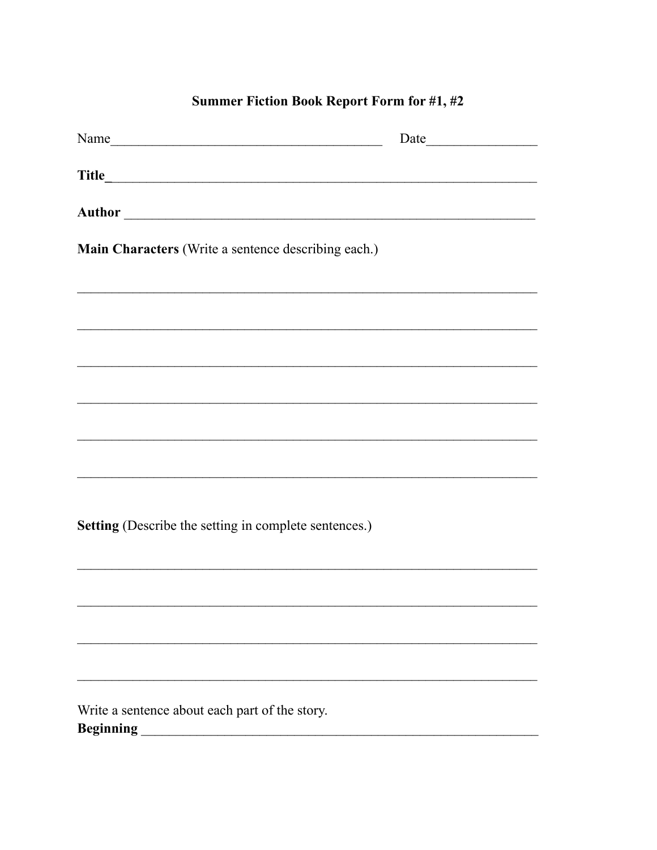# Summer Fiction Book Report Form for #1, #2

| Main Characters (Write a sentence describing each.)         |  |
|-------------------------------------------------------------|--|
|                                                             |  |
|                                                             |  |
|                                                             |  |
|                                                             |  |
|                                                             |  |
|                                                             |  |
|                                                             |  |
| Setting (Describe the setting in complete sentences.)       |  |
|                                                             |  |
|                                                             |  |
|                                                             |  |
|                                                             |  |
| Write a sentence about each part of the story.<br>Beginning |  |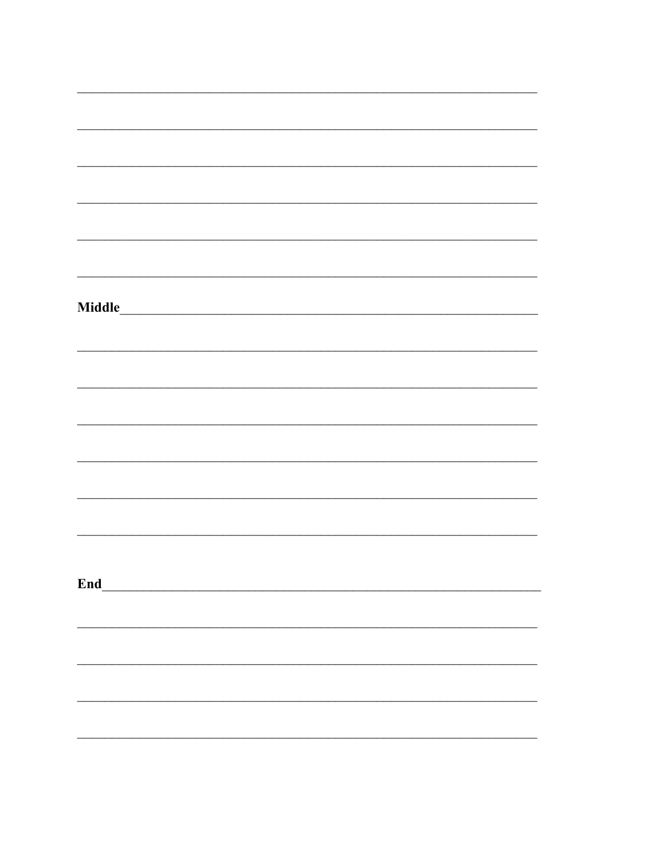| Middle |  |  |  |
|--------|--|--|--|
|        |  |  |  |
|        |  |  |  |
|        |  |  |  |
|        |  |  |  |
|        |  |  |  |
|        |  |  |  |
|        |  |  |  |
|        |  |  |  |
|        |  |  |  |
|        |  |  |  |
|        |  |  |  |
|        |  |  |  |
|        |  |  |  |
|        |  |  |  |
|        |  |  |  |
|        |  |  |  |
| End_   |  |  |  |
|        |  |  |  |
|        |  |  |  |
|        |  |  |  |
|        |  |  |  |
|        |  |  |  |
|        |  |  |  |
|        |  |  |  |
|        |  |  |  |
|        |  |  |  |
|        |  |  |  |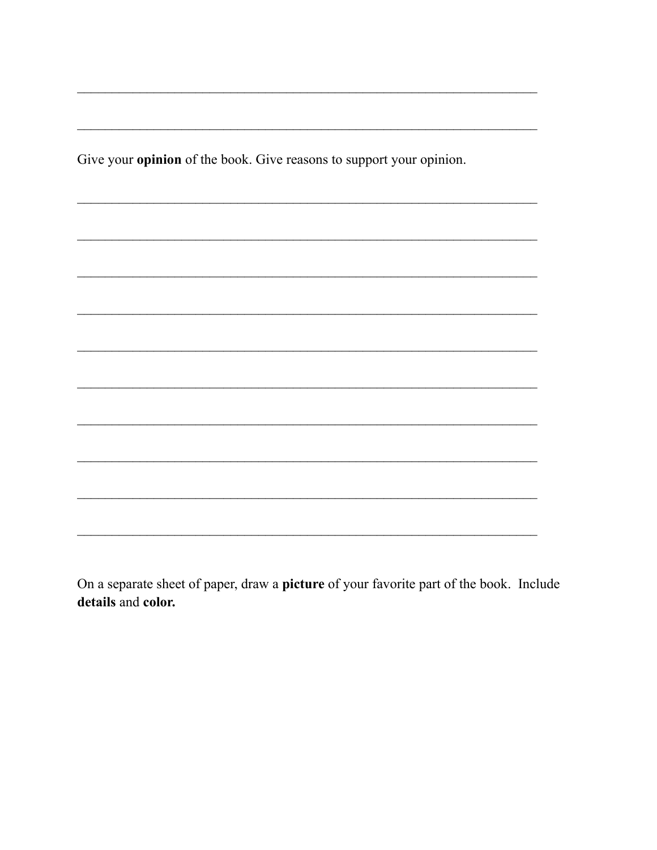Give your opinion of the book. Give reasons to support your opinion.

On a separate sheet of paper, draw a picture of your favorite part of the book. Include details and color.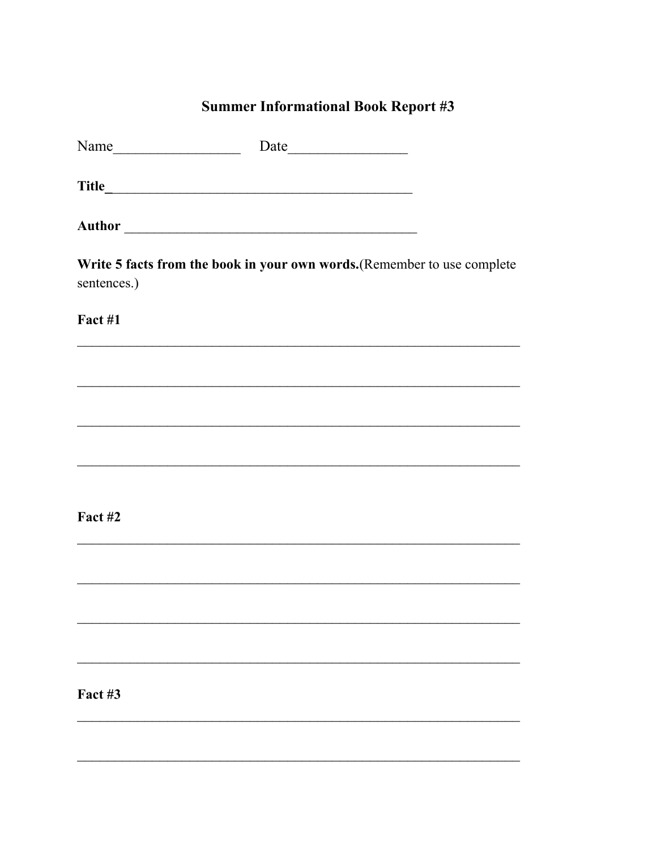# **Summer Informational Book Report #3**

| Name        |                                                                          |
|-------------|--------------------------------------------------------------------------|
|             |                                                                          |
|             |                                                                          |
| sentences.) | Write 5 facts from the book in your own words. (Remember to use complete |
| Fact #1     |                                                                          |
|             |                                                                          |
|             |                                                                          |
|             |                                                                          |
|             |                                                                          |
| Fact #2     |                                                                          |
|             |                                                                          |
|             |                                                                          |
|             |                                                                          |
| Fact #3     |                                                                          |
|             |                                                                          |